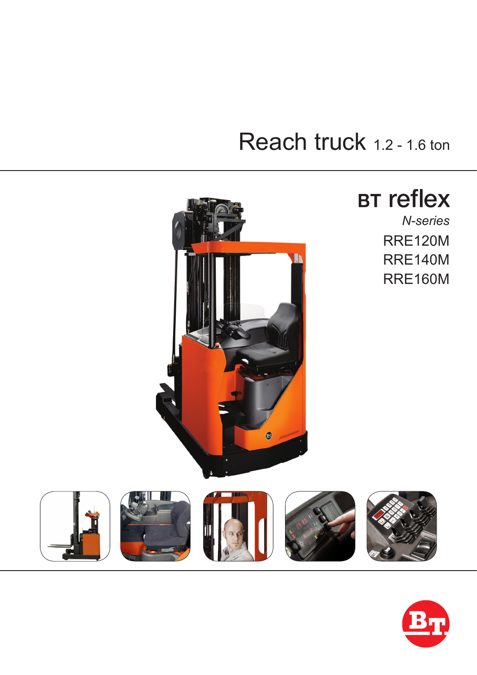# Reach truck 1.2 - 1.6 ton



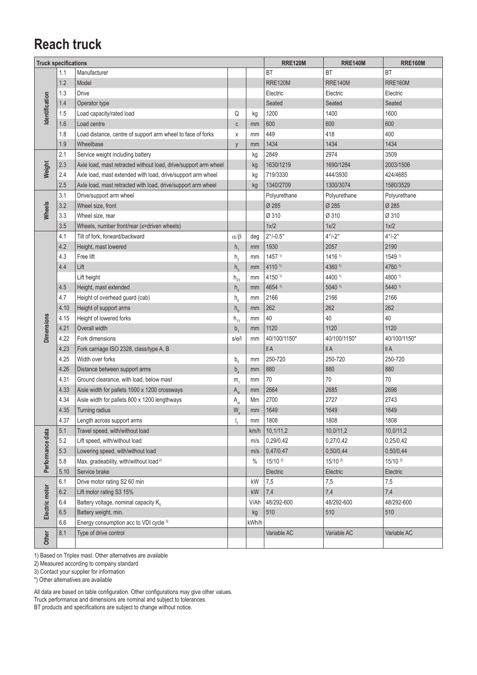#### **Reach truck**

| <b>Truck specifications</b> |      |                                                                 |                            | <b>RRE120M</b> | <b>RRE140M</b>           | <b>RRE160M</b>         |                        |  |
|-----------------------------|------|-----------------------------------------------------------------|----------------------------|----------------|--------------------------|------------------------|------------------------|--|
|                             | 1.1  | Manufacturer                                                    |                            |                | BT                       | <b>BT</b>              | <b>BT</b>              |  |
|                             | 1.2  | Model                                                           |                            |                | <b>RRE120M</b>           | <b>RRE140M</b>         | <b>RRE160M</b>         |  |
| dentification               | 1.3  | <b>Drive</b>                                                    |                            |                | Electric                 | Electric               | Electric               |  |
|                             | 1.4  | Operator type                                                   |                            |                | Seated                   | Seated                 | Seated                 |  |
|                             | 1.5  | Load capacity/rated load                                        | Q                          | kg             | 1200                     | 1400                   | 1600                   |  |
|                             | 1.6  | Load centre                                                     | C                          | mm             | 600                      | 600                    | 600                    |  |
|                             | 1.8  | Load distance, centre of support arm wheel to face of forks     | X                          | mm             | 449                      | 418                    | 400                    |  |
|                             | 1.9  | Wheelbase                                                       | y                          | mm             | 1434                     | 1434                   | 1434                   |  |
|                             | 2.1  | Service weight including battery                                |                            | kg             | 2849                     | 2974                   | 3509                   |  |
| Weight                      | 2.3  | Axle load, mast retracted without load, drive/support arm wheel |                            | kg             | 1630/1219                | 1690/1284              | 2003/1506              |  |
|                             | 2.4  | Axle load, mast extended with load, drive/support arm wheel     |                            | kg             | 719/3330                 | 444/3930               | 424/4685               |  |
|                             | 2.5  | Axle load, mast retracted with load, drive/support arm wheel    |                            | kg             | 1340/2709                | 1300/3074              | 1580/3529              |  |
|                             | 3.1  | Drive/support arm wheel                                         |                            |                | Polyurethane             | Polyurethane           | Polyurethane           |  |
| Wheels                      | 3.2  | Wheel size, front                                               |                            |                | Ø 285                    | Ø 285                  | Ø 285                  |  |
|                             | 3.3  | Wheel size, rear                                                |                            |                | Ø 310                    | Ø 310                  | Ø 310                  |  |
|                             | 3.5  | Wheels, number front/rear (x=driven wheels)                     |                            |                | 1x/2                     | 1x/2                   | 1x/2                   |  |
|                             | 4.1  | Tilt of fork, forward/backward                                  | $\alpha/\beta$             | deg            | $2^{\circ}/-0.5^{\circ}$ | $4^{\circ}/-2^{\circ}$ | $4^{\circ}/-2^{\circ}$ |  |
|                             | 4.2  | Height, mast lowered                                            | h <sub>1</sub>             | mm             | 1930                     | 2057                   | 2190                   |  |
|                             | 4.3  | Free lift                                                       | h <sub>2</sub>             | mm             | 1457 <sup>1</sup>        | 1416 1)                | 1549 1)                |  |
|                             | 4.4  | Lift                                                            | h <sub>3</sub>             | mm             | 4110 1)                  | 4360 1)                | 4760 1)                |  |
|                             |      | Lift height                                                     | $h_{23}$                   | mm             | 4150 1)                  | 4400 1)                | 4800 1)                |  |
|                             | 4.5  | Height, mast extended                                           | h <sub>4</sub>             | mm             | 4654 1)                  | 5040 1)                | 5440 1)                |  |
|                             | 4.7  | Height of overhead guard (cab)                                  | $\mathsf{h}_{_{6}}$        | mm             | 2166                     | 2166                   | 2166                   |  |
|                             | 4.10 | Height of support arms                                          | h <sub>8</sub>             | mm             | 262                      | 262                    | 262                    |  |
|                             | 4.15 | Height of lowered forks                                         | $h_{13}$                   | mm             | 40                       | 40                     | 40                     |  |
| Dimensions                  | 4.21 | Overall width                                                   | $b_{1}$                    | mm             | 1120                     | 1120                   | 1120                   |  |
|                             | 4.22 | Fork dimensions                                                 | s/e/l                      | mm             | 40/100/1150*             | 40/100/1150*           | 40/100/1150*           |  |
|                             | 4.23 | Fork carriage ISO 2328, class/type A, B                         |                            |                | II A                     | II A                   | II A                   |  |
|                             | 4.25 | Width over forks                                                | $b_{5}$                    | mm             | 250-720                  | 250-720                | 250-720                |  |
|                             | 4.26 | Distance between support arms                                   | $b_{\scriptscriptstyle A}$ | mm             | 880                      | 880                    | 880                    |  |
|                             | 4.31 | Ground clearance, with load, below mast                         | m <sub>1</sub>             | mm             | 70                       | 70                     | 70                     |  |
|                             | 4.33 | Aisle width for pallets 1000 x 1200 crossways                   | A <sub>st</sub>            | mm             | 2664                     | 2685                   | 2698                   |  |
|                             | 4.34 | Aisle width for pallets 800 x 1200 lengthways                   | A <sub>st</sub>            | Mm             | 2700                     | 2727                   | 2743                   |  |
|                             | 4.35 | Turning radius                                                  | W.                         | mm             | 1649                     | 1649                   | 1649                   |  |
|                             | 4.37 | Length across support arms                                      | $\mathsf{I}_{7}$           | mm             | 1808                     | 1808                   | 1808                   |  |
|                             | 5.1  | Travel speed, with/without load                                 |                            | km/h           | 10, 1/11, 2              | 10,0/11,2              | 10,0/11,2              |  |
|                             | 5.2  | Lift speed, with/without load                                   |                            | m/s            | 0,29/0,42                | 0,27/0,42              | 0,25/0,42              |  |
|                             | 5.3  | Lowering speed, with/without load                               |                            | m/s            | 0,47/0,47                | 0,50/0,44              | 0,50/0,44              |  |
| Performance data            | 5.8  | Max. gradeability, with/without load <sup>2)</sup>              |                            | $\frac{0}{0}$  | $15/10^{2}$              | $15/10^{2}$            | $15/10^{2}$            |  |
|                             | 5.10 | Service brake                                                   |                            |                | Electric                 | Electric               | Electric               |  |
|                             | 6.1  | Drive motor rating S2 60 min                                    |                            | kW             | 7,5                      | 7,5                    | 7,5                    |  |
|                             | 6.2  | Lift motor rating S3 15%                                        |                            | kW             | 7,4                      | 7,4                    | 7,4                    |  |
|                             | 6.4  | Battery voltage, nominal capacity K <sub>5</sub>                |                            | V/Ah           | 48/292-600               | 48/292-600             | 48/292-600             |  |
| Electric motor              | 6.5  | Battery weight, min.                                            |                            | kg             | 510                      | 510                    | 510                    |  |
|                             | 6.6  | Energy consumption acc to VDI cycle 3)                          |                            | kWh/h          |                          |                        |                        |  |
| Other                       | 8.1  | Type of drive control                                           |                            |                | Variable AC              | Variable AC            | Variable AC            |  |
|                             |      |                                                                 |                            |                |                          |                        |                        |  |

1) Based on Triplex mast. Other alternatives are available

2) Measured according to company standard

3) Contact your supplier for information

\*) Other alternatives are available

All data are based on table configuration. Other configurations may give other values. Truck performance and dimensions are nominal and subject to tolerances.

BT products and specifications are subject to change without notice.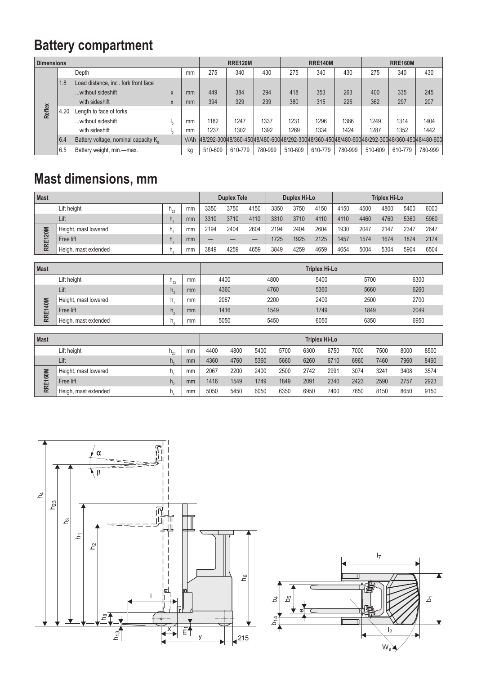## **Battery compartment**

| <b>Dimensions</b> |      |                                                  |    |      | <b>RRE120M</b> |         |         |                                                                                                     | <b>RRE140M</b> |         | <b>RRE160M</b> |         |         |
|-------------------|------|--------------------------------------------------|----|------|----------------|---------|---------|-----------------------------------------------------------------------------------------------------|----------------|---------|----------------|---------|---------|
|                   |      | Depth                                            |    | mm   | 275            | 340     | 430     | 275                                                                                                 | 340            | 430     | 275            | 340     | 430     |
|                   | 1.8  | Load distance, incl. fork front face             |    |      |                |         |         |                                                                                                     |                |         |                |         |         |
|                   |      | without sideshift                                | X  | mm   | 449            | 384     | 294     | 418                                                                                                 | 353            | 263     | 400            | 335     | 245     |
|                   |      | with sideshift                                   | X  | mm   | 394            | 329     | 239     | 380                                                                                                 | 315            | 225     | 362            | 297     | 207     |
| Reflex            | 4.20 | Length to face of forks                          |    |      |                |         |         |                                                                                                     |                |         |                |         |         |
|                   |      | without sideshift                                | ъ. | mm   | 1182           | 1247    | 1337    | 1231                                                                                                | 1296           | 1386    | 1249           | 1314    | 1404    |
|                   |      | with sideshift                                   | ٠ı | mm   | 1237           | 1302    | 1392    | 1269                                                                                                | 1334           | 1424    | 1287           | 1352    | 1442    |
|                   | 6.4  | Battery voltage, nominal capacity K <sub>c</sub> |    | V/Ah |                |         |         | 148/292-300 48/360-450 48/480-600 48/292-300 48/360-450 48/480-600 48/292-300 48/360-450 48/480-600 |                |         |                |         |         |
|                   | 6.5  | Battery weight, min.-max.                        |    | kg   | 510-609        | 610-779 | 780-999 | 510-609                                                                                             | 610-779        | 780-999 | 510-609        | 610-779 | 780-999 |

### **Mast dimensions, mm**

| <b>Mast</b>                   |                      |             |      |      | <b>Duplex Tele</b> |      |      | Duplex Hi-Lo |      |      | <b>Triplex Hi-Lo</b> |      |      |      |  |
|-------------------------------|----------------------|-------------|------|------|--------------------|------|------|--------------|------|------|----------------------|------|------|------|--|
| Lift height<br>mm<br>$h_{23}$ |                      |             | 3350 | 3750 | 4150               | 3350 | 3750 | 4150         | 4150 | 4500 | 4800                 | 5400 | 6000 |      |  |
| Lift<br>mm<br>n.              |                      | 3310        | 3710 | 4110 | 3310               | 3710 | 4110 | 4110         | 4460 | 4760 | 5360                 | 5960 |      |      |  |
| RRE120M                       | Height, mast lowered |             | mm   | 2194 | 2404               | 2604 | 2194 | 2404         | 2604 | 1930 | 2047                 | 2147 | 2347 | 2647 |  |
|                               | Free lift            | $n_{\circ}$ | mm   | –    |                    | –    | 1725 | 1925         | 2125 | 1457 | 1574                 | 1674 | 1874 | 2174 |  |
|                               | Heigh, mast extended |             | mm   | 3849 | 4259               | 4659 | 3849 | 4259         | 4659 | 4654 | 5004                 | 5304 | 5904 | 6504 |  |
|                               |                      |             |      |      |                    |      |      |              |      |      |                      |      |      |      |  |

| <b>Mast</b> |                                   |          | <b>Triplex Hi-Lo</b> |      |      |      |      |      |  |  |  |
|-------------|-----------------------------------|----------|----------------------|------|------|------|------|------|--|--|--|
|             | Lift height                       | $H_{22}$ | mm                   | 4400 | 4800 | 5400 | 5700 | 6300 |  |  |  |
|             | Lift                              |          | mm                   | 4360 | 4760 | 5360 | 5660 | 6260 |  |  |  |
| 40M<br>RRE1 | Height, mast lowered<br>Free lift |          | mm                   | 2067 | 2200 | 2400 | 2500 | 2700 |  |  |  |
|             |                                   |          | mm                   | 1416 | 1549 | 1749 | 1849 | 2049 |  |  |  |
|             | Heigh, mast extended              |          | mm                   | 5050 | 5450 | 6050 | 6350 | 6950 |  |  |  |

| <b>Mast</b> |                      |             |    | <b>Triplex Hi-Lo</b> |      |      |      |      |      |      |      |      |      |
|-------------|----------------------|-------------|----|----------------------|------|------|------|------|------|------|------|------|------|
|             | Lift height          | $H_{02}$    | mm | 4400                 | 4800 | 5400 | 5700 | 6300 | 6750 | 7000 | 7500 | 8000 | 8500 |
|             | Lift                 | n.          | mm | 4360                 | 4760 | 5360 | 5660 | 6260 | 6710 | 6960 | 7460 | 7960 | 8460 |
| RRE160M     | Height, mast lowered | n.          | mm | 2067                 | 2200 | 2400 | 2500 | 2742 | 2991 | 3074 | 324' | 3408 | 3574 |
|             | Free lift            | $n_{\circ}$ | mm | 1416                 | 1549 | 1749 | 1849 | 2091 | 2340 | 2423 | 2590 | 2757 | 2923 |
|             | Heigh, mast extended |             | mm | 5050                 | 5450 | 6050 | 6350 | 6950 | 7400 | 7650 | 8150 | 8650 | 9150 |